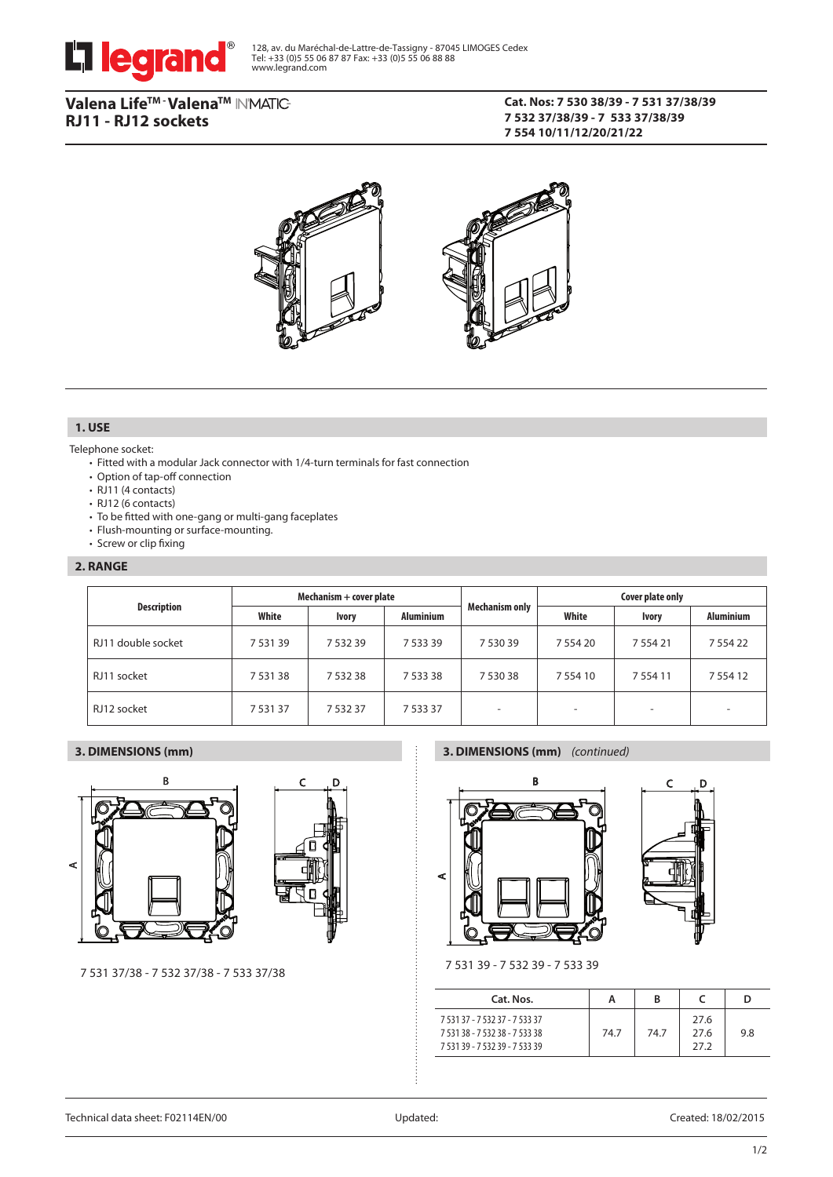

# Valena Life™ · Valena™ IN'MATIC-**RJ11 - RJ12 sockets**

# **Cat. Nos: 7 530 38/39 - 7 531 37/38/39 7 532 37/38/39 - 7 533 37/38/39 7 554 10/11/12/20/21/22**



# **1. USE**

### Telephone socket:

- Fitted with a modular Jack connector with 1/4-turn terminals for fast connection
- Option of tap-off connection
- RJ11 (4 contacts)
- RJ12 (6 contacts)
- To be fitted with one-gang or multi-gang faceplates
- Flush-mounting or surface-mounting.
- Screw or clip fixing

### **2. RANGE**

| <b>Description</b> | Mechanism + cover plate |              |                  | <b>Mechanism only</b> | Cover plate only |                          |                  |
|--------------------|-------------------------|--------------|------------------|-----------------------|------------------|--------------------------|------------------|
|                    | White                   | <b>Ivory</b> | <b>Aluminium</b> |                       | White            | <b>Ivory</b>             | <b>Aluminium</b> |
| RJ11 double socket | 7 5 3 1 3 9             | 7 5 3 2 3 9  | 7 5 3 3 3 9      | 7 530 39              | 7 5 5 4 2 0      | 7 5 5 4 2 1              | 7 5 5 4 2 2      |
| RJ11 socket        | 7 5 3 1 3 8             | 7 532 38     | 7 5 3 3 3 8      | 7 530 38              | 7 5 5 4 10       | 7 5 5 4 1 1              | 7 5 5 4 1 2      |
| RJ12 socket        | 753137                  | 7 532 37     | 7 5 3 3 3 7      |                       | ۰                | $\overline{\phantom{a}}$ | -                |

### **3. DIMENSIONS (mm)**





### **3. DIMENSIONS (mm)** *(continued)*





7 531 39 - 7 532 39 - 7 533 39

| Cat. Nos.                                                                                          | А    | в    |                      | D   |
|----------------------------------------------------------------------------------------------------|------|------|----------------------|-----|
| 7 531 37 - 7 532 37 - 7 533 37<br>7 531 38 - 7 532 38 - 7 533 38<br>7 531 39 - 7 532 39 - 7 533 39 | 74.7 | 74.7 | 27.6<br>27.6<br>27.2 | 9.8 |